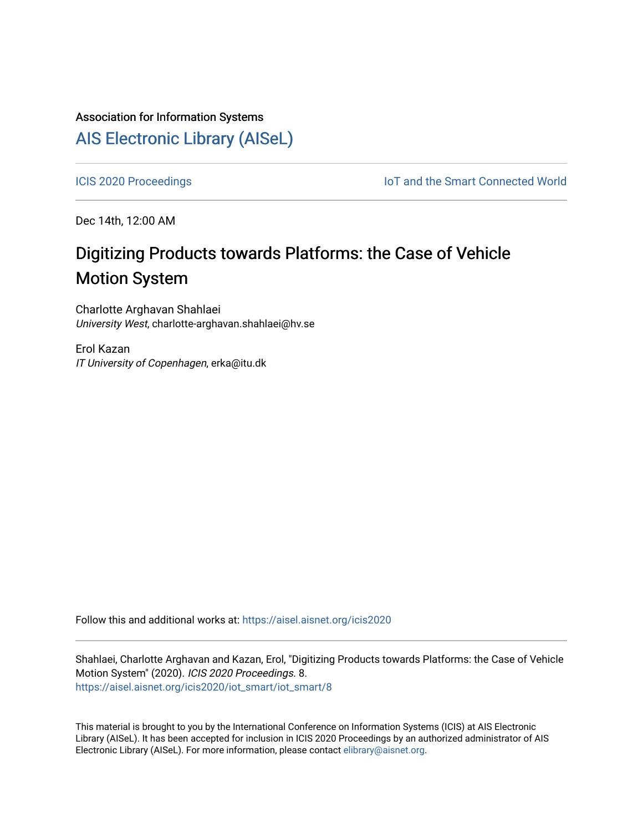# Association for Information Systems [AIS Electronic Library \(AISeL\)](https://aisel.aisnet.org/)

[ICIS 2020 Proceedings](https://aisel.aisnet.org/icis2020) **IOT** and the Smart Connected World

Dec 14th, 12:00 AM

# Digitizing Products towards Platforms: the Case of Vehicle Motion System

Charlotte Arghavan Shahlaei University West, charlotte-arghavan.shahlaei@hv.se

Erol Kazan IT University of Copenhagen, erka@itu.dk

Follow this and additional works at: [https://aisel.aisnet.org/icis2020](https://aisel.aisnet.org/icis2020?utm_source=aisel.aisnet.org%2Ficis2020%2Fiot_smart%2Fiot_smart%2F8&utm_medium=PDF&utm_campaign=PDFCoverPages) 

Shahlaei, Charlotte Arghavan and Kazan, Erol, "Digitizing Products towards Platforms: the Case of Vehicle Motion System" (2020). ICIS 2020 Proceedings. 8. [https://aisel.aisnet.org/icis2020/iot\\_smart/iot\\_smart/8](https://aisel.aisnet.org/icis2020/iot_smart/iot_smart/8?utm_source=aisel.aisnet.org%2Ficis2020%2Fiot_smart%2Fiot_smart%2F8&utm_medium=PDF&utm_campaign=PDFCoverPages)

This material is brought to you by the International Conference on Information Systems (ICIS) at AIS Electronic Library (AISeL). It has been accepted for inclusion in ICIS 2020 Proceedings by an authorized administrator of AIS Electronic Library (AISeL). For more information, please contact [elibrary@aisnet.org.](mailto:elibrary@aisnet.org%3E)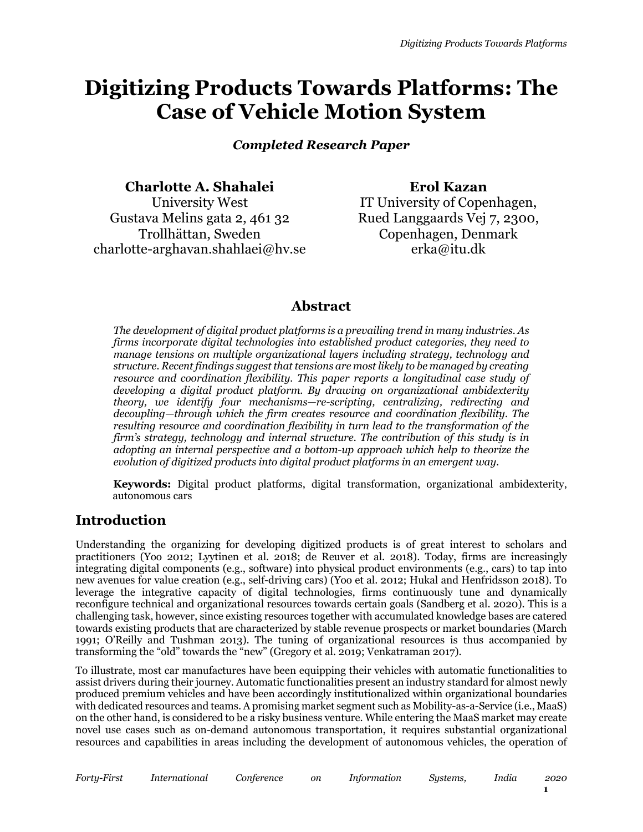# **Digitizing Products Towards Platforms: The Case of Vehicle Motion System**

*Completed Research Paper* 

**Charlotte A. Shahalei** University West Gustava Melins gata 2, 461 32 Trollhättan, Sweden charlotte-arghavan.shahlaei@hv.se

**Erol Kazan** IT University of Copenhagen, Rued Langgaards Vej 7, 2300, Copenhagen, Denmark erka@itu.dk

### **Abstract**

*The development of digital product platforms is a prevailing trend in many industries. As firms incorporate digital technologies into established product categories, they need to manage tensions on multiple organizational layers including strategy, technology and structure. Recent findings suggest that tensions are most likely to be managed by creating resource and coordination flexibility. This paper reports a longitudinal case study of developing a digital product platform. By drawing on organizational ambidexterity theory, we identify four mechanisms—re-scripting, centralizing, redirecting and decoupling—through which the firm creates resource and coordination flexibility. The resulting resource and coordination flexibility in turn lead to the transformation of the firm's strategy, technology and internal structure. The contribution of this study is in adopting an internal perspective and a bottom-up approach which help to theorize the evolution of digitized products into digital product platforms in an emergent way.*

**Keywords:** Digital product platforms, digital transformation, organizational ambidexterity, autonomous cars

### **Introduction**

Understanding the organizing for developing digitized products is of great interest to scholars and practitioners (Yoo 2012; Lyytinen et al. 2018; de Reuver et al. 2018). Today, firms are increasingly integrating digital components (e.g., software) into physical product environments (e.g., cars) to tap into new avenues for value creation (e.g., self-driving cars) (Yoo et al. 2012; Hukal and Henfridsson 2018). To leverage the integrative capacity of digital technologies, firms continuously tune and dynamically reconfigure technical and organizational resources towards certain goals (Sandberg et al. 2020). This is a challenging task, however, since existing resources together with accumulated knowledge bases are catered towards existing products that are characterized by stable revenue prospects or market boundaries (March 1991; O'Reilly and Tushman 2013). The tuning of organizational resources is thus accompanied by transforming the "old" towards the "new" (Gregory et al. 2019; Venkatraman 2017).

To illustrate, most car manufactures have been equipping their vehicles with automatic functionalities to assist drivers during their journey. Automatic functionalities present an industry standard for almost newly produced premium vehicles and have been accordingly institutionalized within organizational boundaries with dedicated resources and teams. A promising market segment such as Mobility-as-a-Service (i.e., MaaS) on the other hand, is considered to be a risky business venture. While entering the MaaS market may create novel use cases such as on-demand autonomous transportation, it requires substantial organizational resources and capabilities in areas including the development of autonomous vehicles, the operation of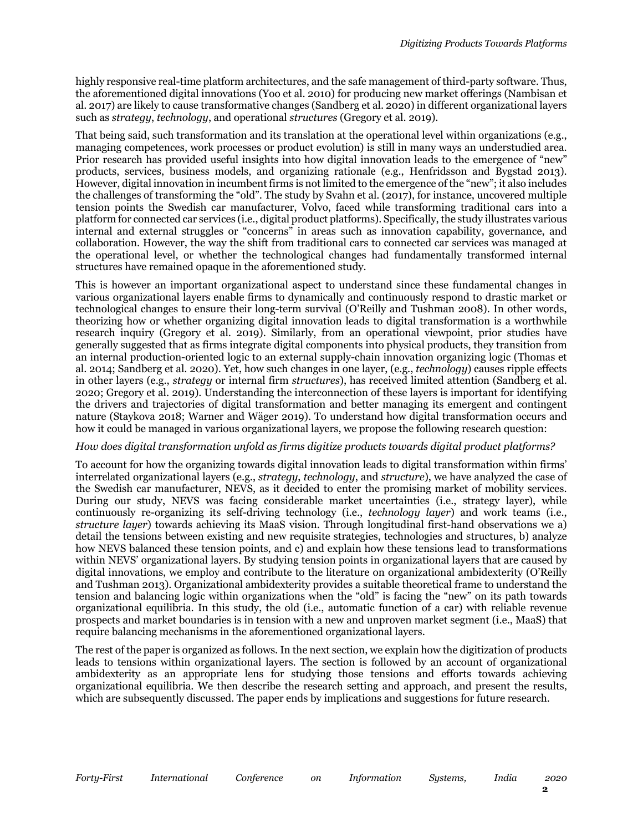highly responsive real-time platform architectures, and the safe management of third-party software. Thus, the aforementioned digital innovations (Yoo et al. 2010) for producing new market offerings (Nambisan et al. 2017) are likely to cause transformative changes (Sandberg et al. 2020) in different organizational layers such as *strategy*, *technology*, and operational *structures* (Gregory et al. 2019).

That being said, such transformation and its translation at the operational level within organizations (e.g., managing competences, work processes or product evolution) is still in many ways an understudied area. Prior research has provided useful insights into how digital innovation leads to the emergence of "new" products, services, business models, and organizing rationale (e.g., Henfridsson and Bygstad 2013). However, digital innovation in incumbent firms is not limited to the emergence of the "new"; it also includes the challenges of transforming the "old". The study by Svahn et al. (2017), for instance, uncovered multiple tension points the Swedish car manufacturer, Volvo, faced while transforming traditional cars into a platform for connected car services (i.e., digital product platforms). Specifically, the study illustrates various internal and external struggles or "concerns" in areas such as innovation capability, governance, and collaboration. However, the way the shift from traditional cars to connected car services was managed at the operational level, or whether the technological changes had fundamentally transformed internal structures have remained opaque in the aforementioned study.

This is however an important organizational aspect to understand since these fundamental changes in various organizational layers enable firms to dynamically and continuously respond to drastic market or technological changes to ensure their long-term survival (O'Reilly and Tushman 2008). In other words, theorizing how or whether organizing digital innovation leads to digital transformation is a worthwhile research inquiry (Gregory et al. 2019). Similarly, from an operational viewpoint, prior studies have generally suggested that as firms integrate digital components into physical products, they transition from an internal production-oriented logic to an external supply-chain innovation organizing logic (Thomas et al. 2014; Sandberg et al. 2020). Yet, how such changes in one layer, (e.g., *technology*) causes ripple effects in other layers (e.g., *strategy* or internal firm *structures*), has received limited attention (Sandberg et al. 2020; Gregory et al. 2019). Understanding the interconnection of these layers is important for identifying the drivers and trajectories of digital transformation and better managing its emergent and contingent nature (Staykova 2018; Warner and Wäger 2019). To understand how digital transformation occurs and how it could be managed in various organizational layers, we propose the following research question:

#### *How does digital transformation unfold as firms digitize products towards digital product platforms?*

To account for how the organizing towards digital innovation leads to digital transformation within firms' interrelated organizational layers (e.g., *strategy*, *technology*, and *structure*), we have analyzed the case of the Swedish car manufacturer, NEVS, as it decided to enter the promising market of mobility services. During our study, NEVS was facing considerable market uncertainties (i.e., strategy layer), while continuously re-organizing its self-driving technology (i.e., *technology layer*) and work teams (i.e., *structure layer*) towards achieving its MaaS vision. Through longitudinal first-hand observations we a) detail the tensions between existing and new requisite strategies, technologies and structures, b) analyze how NEVS balanced these tension points, and c) and explain how these tensions lead to transformations within NEVS' organizational layers. By studying tension points in organizational layers that are caused by digital innovations, we employ and contribute to the literature on organizational ambidexterity (O'Reilly and Tushman 2013). Organizational ambidexterity provides a suitable theoretical frame to understand the tension and balancing logic within organizations when the "old" is facing the "new" on its path towards organizational equilibria. In this study, the old (i.e., automatic function of a car) with reliable revenue prospects and market boundaries is in tension with a new and unproven market segment (i.e., MaaS) that require balancing mechanisms in the aforementioned organizational layers.

The rest of the paper is organized as follows. In the next section, we explain how the digitization of products leads to tensions within organizational layers. The section is followed by an account of organizational ambidexterity as an appropriate lens for studying those tensions and efforts towards achieving organizational equilibria. We then describe the research setting and approach, and present the results, which are subsequently discussed. The paper ends by implications and suggestions for future research.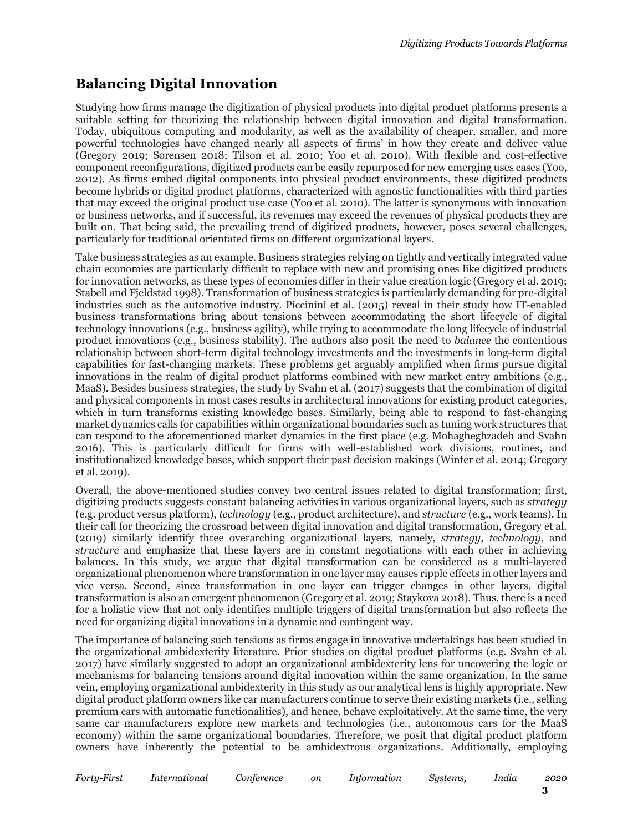## **Balancing Digital Innovation**

Studying how firms manage the digitization of physical products into digital product platforms presents a suitable setting for theorizing the relationship between digital innovation and digital transformation. Today, ubiquitous computing and modularity, as well as the availability of cheaper, smaller, and more powerful technologies have changed nearly all aspects of firms' in how they create and deliver value (Gregory 2019; Sørensen 2018; Tilson et al. 2010; Yoo et al. 2010). With flexible and cost-effective component reconfigurations, digitized products can be easily repurposed for new emerging uses cases (Yoo, 2012). As firms embed digital components into physical product environments, these digitized products become hybrids or digital product platforms, characterized with agnostic functionalities with third parties that may exceed the original product use case (Yoo et al. 2010). The latter is synonymous with innovation or business networks, and if successful, its revenues may exceed the revenues of physical products they are built on. That being said, the prevailing trend of digitized products, however, poses several challenges, particularly for traditional orientated firms on different organizational layers.

Take business strategies as an example. Business strategies relying on tightly and vertically integrated value chain economies are particularly difficult to replace with new and promising ones like digitized products for innovation networks, as these types of economies differ in their value creation logic (Gregory et al. 2019; Stabell and Fjeldstad 1998). Transformation of business strategies is particularly demanding for pre-digital industries such as the automotive industry. Piccinini et al. (2015) reveal in their study how IT-enabled business transformations bring about tensions between accommodating the short lifecycle of digital technology innovations (e.g., business agility), while trying to accommodate the long lifecycle of industrial product innovations (e.g., business stability). The authors also posit the need to *balance* the contentious relationship between short-term digital technology investments and the investments in long-term digital capabilities for fast-changing markets. These problems get arguably amplified when firms pursue digital innovations in the realm of digital product platforms combined with new market entry ambitions (e.g., MaaS). Besides business strategies, the study by Svahn et al. (2017) suggests that the combination of digital and physical components in most cases results in architectural innovations for existing product categories, which in turn transforms existing knowledge bases. Similarly, being able to respond to fast-changing market dynamics calls for capabilities within organizational boundaries such as tuning work structures that can respond to the aforementioned market dynamics in the first place (e.g. Mohagheghzadeh and Svahn 2016). This is particularly difficult for firms with well-established work divisions, routines, and institutionalized knowledge bases, which support their past decision makings (Winter et al. 2014; Gregory et al. 2019).

Overall, the above-mentioned studies convey two central issues related to digital transformation; first, digitizing products suggests constant balancing activities in various organizational layers, such as *strategy* (e.g. product versus platform), *technology* (e.g., product architecture), and *structure* (e.g., work teams). In their call for theorizing the crossroad between digital innovation and digital transformation, Gregory et al. (2019) similarly identify three overarching organizational layers, namely, *strategy*, *technology*, and *structure* and emphasize that these layers are in constant negotiations with each other in achieving balances. In this study, we argue that digital transformation can be considered as a multi-layered organizational phenomenon where transformation in one layer may causes ripple effects in other layers and vice versa. Second, since transformation in one layer can trigger changes in other layers, digital transformation is also an emergent phenomenon (Gregory et al. 2019; Staykova 2018). Thus, there is a need for a holistic view that not only identifies multiple triggers of digital transformation but also reflects the need for organizing digital innovations in a dynamic and contingent way.

The importance of balancing such tensions as firms engage in innovative undertakings has been studied in the organizational ambidexterity literature. Prior studies on digital product platforms (e.g. Svahn et al. 2017) have similarly suggested to adopt an organizational ambidexterity lens for uncovering the logic or mechanisms for balancing tensions around digital innovation within the same organization. In the same vein, employing organizational ambidexterity in this study as our analytical lens is highly appropriate. New digital product platform owners like car manufacturers continue to serve their existing markets (i.e., selling premium cars with automatic functionalities), and hence, behave exploitatively. At the same time, the very same car manufacturers explore new markets and technologies (i.e., autonomous cars for the MaaS economy) within the same organizational boundaries. Therefore, we posit that digital product platform owners have inherently the potential to be ambidextrous organizations. Additionally, employing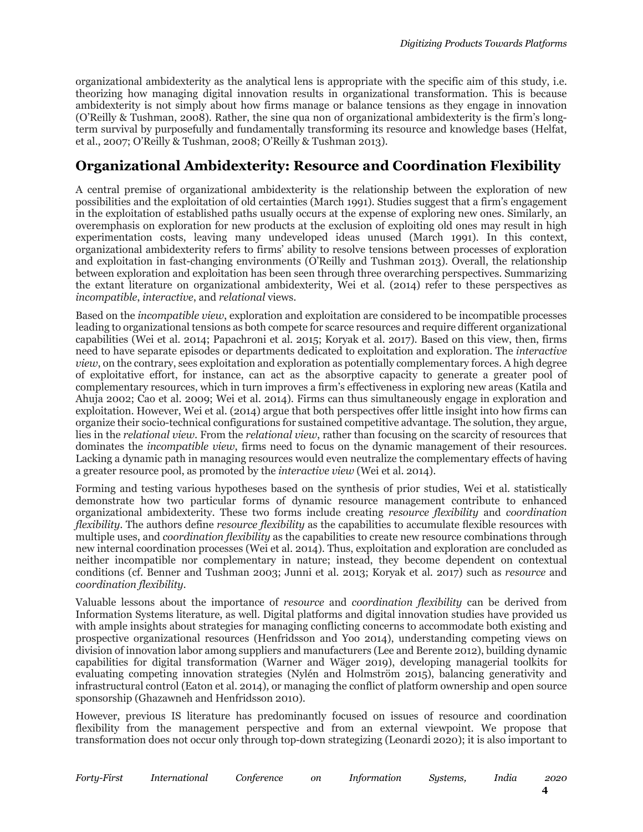organizational ambidexterity as the analytical lens is appropriate with the specific aim of this study, i.e. theorizing how managing digital innovation results in organizational transformation. This is because ambidexterity is not simply about how firms manage or balance tensions as they engage in innovation (O'Reilly & Tushman, 2008). Rather, the sine qua non of organizational ambidexterity is the firm's longterm survival by purposefully and fundamentally transforming its resource and knowledge bases (Helfat, et al., 2007; O'Reilly & Tushman, 2008; O'Reilly & Tushman 2013).

## **Organizational Ambidexterity: Resource and Coordination Flexibility**

A central premise of organizational ambidexterity is the relationship between the exploration of new possibilities and the exploitation of old certainties (March 1991). Studies suggest that a firm's engagement in the exploitation of established paths usually occurs at the expense of exploring new ones. Similarly, an overemphasis on exploration for new products at the exclusion of exploiting old ones may result in high experimentation costs, leaving many undeveloped ideas unused (March 1991). In this context, organizational ambidexterity refers to firms' ability to resolve tensions between processes of exploration and exploitation in fast-changing environments (O'Reilly and Tushman 2013). Overall, the relationship between exploration and exploitation has been seen through three overarching perspectives. Summarizing the extant literature on organizational ambidexterity, Wei et al. (2014) refer to these perspectives as *incompatible*, *interactive*, and *relational* views.

Based on the *incompatible view*, exploration and exploitation are considered to be incompatible processes leading to organizational tensions as both compete for scarce resources and require different organizational capabilities (Wei et al. 2014; Papachroni et al. 2015; Koryak et al. 2017). Based on this view, then, firms need to have separate episodes or departments dedicated to exploitation and exploration. The *interactive view*, on the contrary, sees exploitation and exploration as potentially complementary forces. A high degree of exploitative effort, for instance, can act as the absorptive capacity to generate a greater pool of complementary resources, which in turn improves a firm's effectiveness in exploring new areas (Katila and Ahuja 2002; Cao et al. 2009; Wei et al. 2014). Firms can thus simultaneously engage in exploration and exploitation. However, Wei et al. (2014) argue that both perspectives offer little insight into how firms can organize their socio-technical configurations for sustained competitive advantage. The solution, they argue, lies in the *relational view*. From the *relational view*, rather than focusing on the scarcity of resources that dominates the *incompatible view*, firms need to focus on the dynamic management of their resources. Lacking a dynamic path in managing resources would even neutralize the complementary effects of having a greater resource pool, as promoted by the *interactive view* (Wei et al. 2014).

Forming and testing various hypotheses based on the synthesis of prior studies, Wei et al. statistically demonstrate how two particular forms of dynamic resource management contribute to enhanced organizational ambidexterity. These two forms include creating *resource flexibility* and *coordination flexibility*. The authors define *resource flexibility* as the capabilities to accumulate flexible resources with multiple uses, and *coordination flexibility* as the capabilities to create new resource combinations through new internal coordination processes (Wei et al. 2014). Thus, exploitation and exploration are concluded as neither incompatible nor complementary in nature; instead, they become dependent on contextual conditions (cf. Benner and Tushman 2003; Junni et al. 2013; Koryak et al. 2017) such as *resource* and *coordination flexibility*.

Valuable lessons about the importance of *resource* and *coordination flexibility* can be derived from Information Systems literature, as well. Digital platforms and digital innovation studies have provided us with ample insights about strategies for managing conflicting concerns to accommodate both existing and prospective organizational resources (Henfridsson and Yoo 2014), understanding competing views on division of innovation labor among suppliers and manufacturers (Lee and Berente 2012), building dynamic capabilities for digital transformation (Warner and Wäger 2019), developing managerial toolkits for evaluating competing innovation strategies (Nylén and Holmström 2015), balancing generativity and infrastructural control (Eaton et al. 2014), or managing the conflict of platform ownership and open source sponsorship (Ghazawneh and Henfridsson 2010).

However, previous IS literature has predominantly focused on issues of resource and coordination flexibility from the management perspective and from an external viewpoint. We propose that transformation does not occur only through top-down strategizing (Leonardi 2020); it is also important to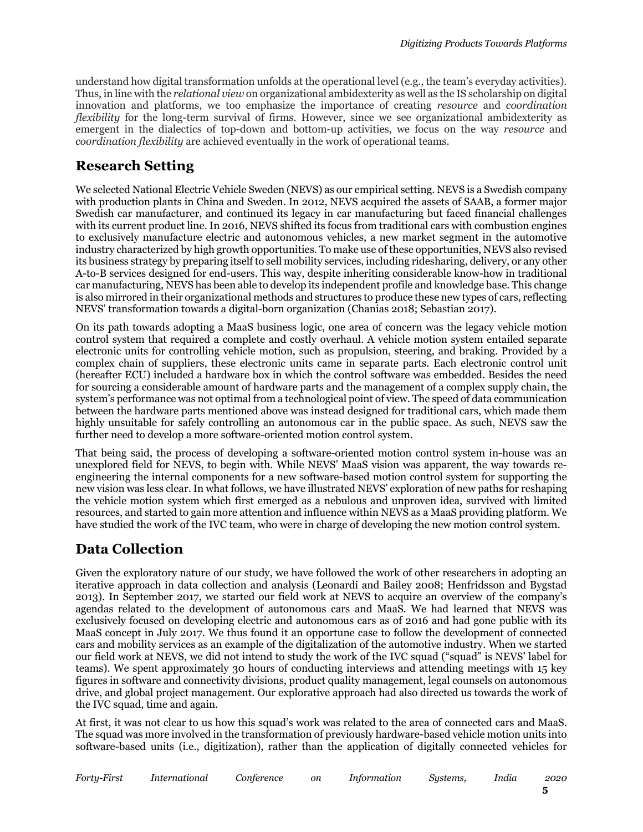understand how digital transformation unfolds at the operational level (e.g., the team's everyday activities). Thus, in line with the *relational view* on organizational ambidexterity as well as the IS scholarship on digital innovation and platforms, we too emphasize the importance of creating *resource* and *coordination flexibility* for the long-term survival of firms. However, since we see organizational ambidexterity as emergent in the dialectics of top-down and bottom-up activities, we focus on the way *resource* and *coordination flexibility* are achieved eventually in the work of operational teams.

## **Research Setting**

We selected National Electric Vehicle Sweden (NEVS) as our empirical setting. NEVS is a Swedish company with production plants in China and Sweden. In 2012, NEVS acquired the assets of SAAB, a former major Swedish car manufacturer, and continued its legacy in car manufacturing but faced financial challenges with its current product line. In 2016, NEVS shifted its focus from traditional cars with combustion engines to exclusively manufacture electric and autonomous vehicles, a new market segment in the automotive industry characterized by high growth opportunities. To make use of these opportunities, NEVS also revised its business strategy by preparing itself to sell mobility services, including ridesharing, delivery, or any other A-to-B services designed for end-users. This way, despite inheriting considerable know-how in traditional car manufacturing, NEVS has been able to develop its independent profile and knowledge base. This change is also mirrored in their organizational methods and structures to produce these new types of cars, reflecting NEVS' transformation towards a digital-born organization (Chanias 2018; Sebastian 2017).

On its path towards adopting a MaaS business logic, one area of concern was the legacy vehicle motion control system that required a complete and costly overhaul. A vehicle motion system entailed separate electronic units for controlling vehicle motion, such as propulsion, steering, and braking. Provided by a complex chain of suppliers, these electronic units came in separate parts. Each electronic control unit (hereafter ECU) included a hardware box in which the control software was embedded. Besides the need for sourcing a considerable amount of hardware parts and the management of a complex supply chain, the system's performance was not optimal from a technological point of view. The speed of data communication between the hardware parts mentioned above was instead designed for traditional cars, which made them highly unsuitable for safely controlling an autonomous car in the public space. As such, NEVS saw the further need to develop a more software-oriented motion control system.

That being said, the process of developing a software-oriented motion control system in-house was an unexplored field for NEVS, to begin with. While NEVS' MaaS vision was apparent, the way towards reengineering the internal components for a new software-based motion control system for supporting the new vision was less clear. In what follows, we have illustrated NEVS' exploration of new paths for reshaping the vehicle motion system which first emerged as a nebulous and unproven idea, survived with limited resources, and started to gain more attention and influence within NEVS as a MaaS providing platform. We have studied the work of the IVC team, who were in charge of developing the new motion control system.

### **Data Collection**

Given the exploratory nature of our study, we have followed the work of other researchers in adopting an iterative approach in data collection and analysis (Leonardi and Bailey 2008; Henfridsson and Bygstad 2013). In September 2017, we started our field work at NEVS to acquire an overview of the company's agendas related to the development of autonomous cars and MaaS. We had learned that NEVS was exclusively focused on developing electric and autonomous cars as of 2016 and had gone public with its MaaS concept in July 2017. We thus found it an opportune case to follow the development of connected cars and mobility services as an example of the digitalization of the automotive industry. When we started our field work at NEVS, we did not intend to study the work of the IVC squad ("squad" is NEVS' label for teams). We spent approximately 30 hours of conducting interviews and attending meetings with 15 key figures in software and connectivity divisions, product quality management, legal counsels on autonomous drive, and global project management. Our explorative approach had also directed us towards the work of the IVC squad, time and again.

At first, it was not clear to us how this squad's work was related to the area of connected cars and MaaS. The squad was more involved in the transformation of previously hardware-based vehicle motion units into software-based units (i.e., digitization), rather than the application of digitally connected vehicles for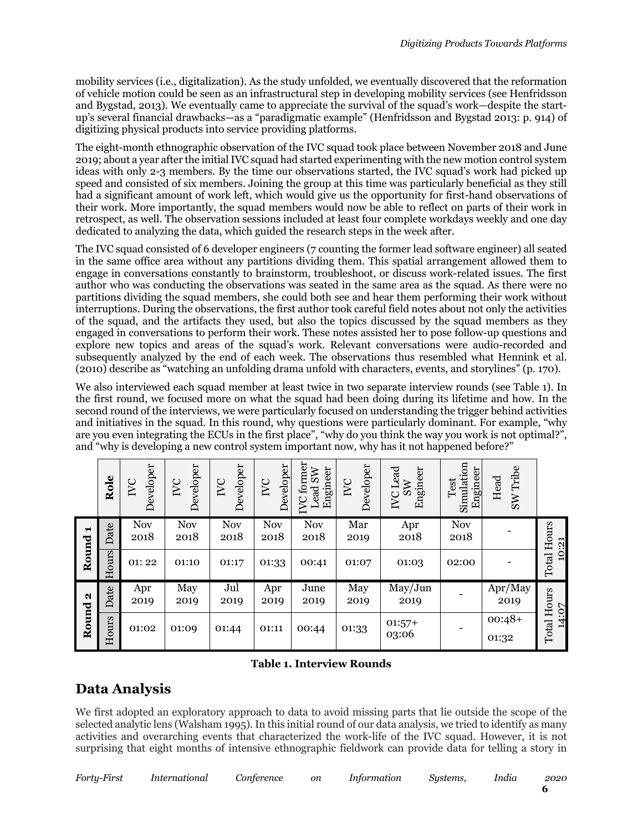mobility services (i.e., digitalization). As the study unfolded, we eventually discovered that the reformation of vehicle motion could be seen as an infrastructural step in developing mobility services (see Henfridsson and Bygstad, 2013). We eventually came to appreciate the survival of the squad's work—despite the startup's several financial drawbacks—as a "paradigmatic example" (Henfridsson and Bygstad 2013: p. 914) of digitizing physical products into service providing platforms.

The eight-month ethnographic observation of the IVC squad took place between November 2018 and June 2019; about a year after the initial IVC squad had started experimenting with the new motion control system ideas with only 2-3 members. By the time our observations started, the IVC squad's work had picked up speed and consisted of six members. Joining the group at this time was particularly beneficial as they still had a significant amount of work left, which would give us the opportunity for first-hand observations of their work. More importantly, the squad members would now be able to reflect on parts of their work in retrospect, as well. The observation sessions included at least four complete workdays weekly and one day dedicated to analyzing the data, which guided the research steps in the week after.

The IVC squad consisted of 6 developer engineers (7 counting the former lead software engineer) all seated in the same office area without any partitions dividing them. This spatial arrangement allowed them to engage in conversations constantly to brainstorm, troubleshoot, or discuss work-related issues. The first author who was conducting the observations was seated in the same area as the squad. As there were no partitions dividing the squad members, she could both see and hear them performing their work without interruptions. During the observations, the first author took careful field notes about not only the activities of the squad, and the artifacts they used, but also the topics discussed by the squad members as they engaged in conversations to perform their work. These notes assisted her to pose follow-up questions and explore new topics and areas of the squad's work. Relevant conversations were audio-recorded and subsequently analyzed by the end of each week. The observations thus resembled what Hennink et al. (2010) describe as "watching an unfolding drama unfold with characters, events, and storylines" (p. 170).

We also interviewed each squad member at least twice in two separate interview rounds (see Table 1). In the first round, we focused more on what the squad had been doing during its lifetime and how. In the second round of the interviews, we were particularly focused on understanding the trigger behind activities and initiatives in the squad. In this round, why questions were particularly dominant. For example, "why are you even integrating the ECUs in the first place", "why do you think the way you work is not optimal?", and "why is developing a new control system important now, why has it not happened before?"

|                | Role      | Developer<br>IVC   | Developer<br>IVC   | Developer<br>IVC   | Developer<br>IVC   | <b>IVC</b> former<br>Engineer<br>Lead SW | Developer<br>IVC | $IVC$ Lead<br>Engineer<br>SW | Simulation<br>Engineer<br>est<br>Ĥ | SW Tribe<br>Head  |                |
|----------------|-----------|--------------------|--------------------|--------------------|--------------------|------------------------------------------|------------------|------------------------------|------------------------------------|-------------------|----------------|
| $\blacksquare$ | Date      | <b>Nov</b><br>2018 | <b>Nov</b><br>2018 | <b>Nov</b><br>2018 | <b>Nov</b><br>2018 | <b>Nov</b><br>2018                       | Mar<br>2019      | Apr<br>2018                  | <b>Nov</b><br>2018                 |                   | Hours<br>10:21 |
| Round          | ours<br>도 | 01:22              | 01:10              | 01:17              | 01:33              | 00:41                                    | 01:07            | 01:03                        | 02:00                              |                   | Total          |
| N<br>Round     | Date      | Apr<br>2019        | May<br>2019        | Jul<br>2019        | Apr<br>2019        | June<br>2019                             | May<br>2019      | May/Jun<br>2019              |                                    | Apr/May<br>2019   | Hours          |
|                | Hours     | 01:02              | 01:09              | 01:44              | 01:11              | 00:44                                    | 01:33            | $01:57+$<br>03:06            |                                    | $00:48+$<br>01:32 | 14:07<br>Total |

#### **Table 1. Interview Rounds**

### **Data Analysis**

We first adopted an exploratory approach to data to avoid missing parts that lie outside the scope of the selected analytic lens (Walsham 1995). In this initial round of our data analysis, we tried to identify as many activities and overarching events that characterized the work-life of the IVC squad. However, it is not surprising that eight months of intensive ethnographic fieldwork can provide data for telling a story in

*Forty-First International Conference on Information Systems, India 2020*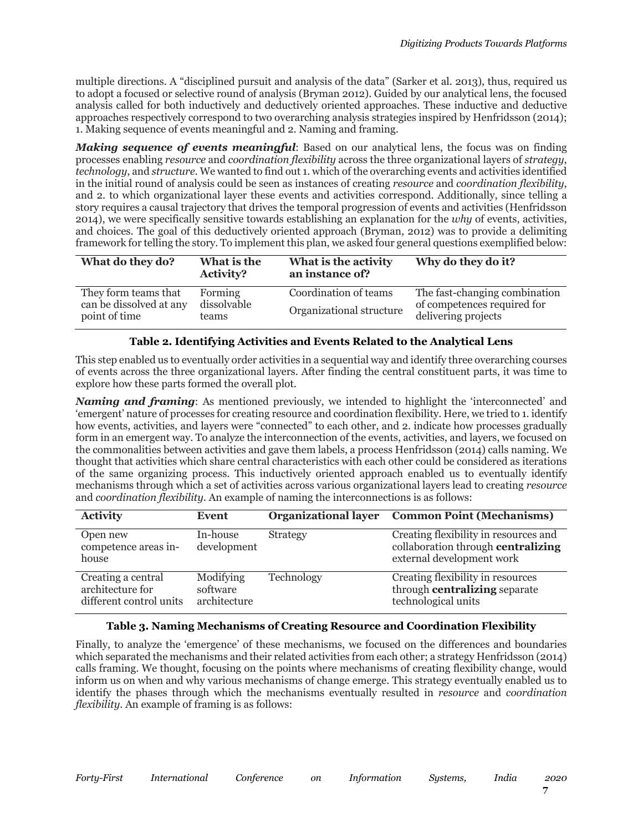multiple directions. A "disciplined pursuit and analysis of the data" (Sarker et al. 2013), thus, required us to adopt a focused or selective round of analysis (Bryman 2012). Guided by our analytical lens, the focused analysis called for both inductively and deductively oriented approaches. These inductive and deductive approaches respectively correspond to two overarching analysis strategies inspired by Henfridsson (2014); 1. Making sequence of events meaningful and 2. Naming and framing.

*Making sequence of events meaningful*: Based on our analytical lens, the focus was on finding processes enabling *resource* and *coordination flexibility* across the three organizational layers of *strategy*, *technology*, and *structure*. We wanted to find out 1. which of the overarching events and activities identified in the initial round of analysis could be seen as instances of creating *resource* and *coordination flexibility*, and 2. to which organizational layer these events and activities correspond. Additionally, since telling a story requires a causal trajectory that drives the temporal progression of events and activities (Henfridsson 2014), we were specifically sensitive towards establishing an explanation for the *why* of events, activities, and choices. The goal of this deductively oriented approach (Bryman, 2012) was to provide a delimiting framework for telling the story. To implement this plan, we asked four general questions exemplified below:

| What do they do?                         | What is the<br><b>Activity?</b> | What is the activity<br>an instance of? | Why do they do it?                                 |
|------------------------------------------|---------------------------------|-----------------------------------------|----------------------------------------------------|
| They form teams that                     | Forming                         | Coordination of teams                   | The fast-changing combination                      |
| can be dissolved at any<br>point of time | dissolvable<br>teams            | Organizational structure                | of competences required for<br>delivering projects |

#### **Table 2. Identifying Activities and Events Related to the Analytical Lens**

This step enabled us to eventually order activities in a sequential way and identify three overarching courses of events across the three organizational layers. After finding the central constituent parts, it was time to explore how these parts formed the overall plot.

*Naming and framing*: As mentioned previously, we intended to highlight the 'interconnected' and 'emergent' nature of processes for creating resource and coordination flexibility. Here, we tried to 1. identify how events, activities, and layers were "connected" to each other, and 2. indicate how processes gradually form in an emergent way. To analyze the interconnection of the events, activities, and layers, we focused on the commonalities between activities and gave them labels, a process Henfridsson (2014) calls naming. We thought that activities which share central characteristics with each other could be considered as iterations of the same organizing process. This inductively oriented approach enabled us to eventually identify mechanisms through which a set of activities across various organizational layers lead to creating *resource* and *coordination flexibility*. An example of naming the interconnections is as follows:

| <b>Activity</b>                                                   | Event                                 | <b>Organizational layer</b> | <b>Common Point (Mechanisms)</b>                                                                         |
|-------------------------------------------------------------------|---------------------------------------|-----------------------------|----------------------------------------------------------------------------------------------------------|
| Open new<br>competence areas in-<br>house                         | In-house<br>development               | <b>Strategy</b>             | Creating flexibility in resources and<br>collaboration through centralizing<br>external development work |
| Creating a central<br>architecture for<br>different control units | Modifying<br>software<br>architecture | Technology                  | Creating flexibility in resources<br>through <b>centralizing</b> separate<br>technological units         |

#### **Table 3. Naming Mechanisms of Creating Resource and Coordination Flexibility**

Finally, to analyze the 'emergence' of these mechanisms, we focused on the differences and boundaries which separated the mechanisms and their related activities from each other; a strategy Henfridsson (2014) calls framing. We thought, focusing on the points where mechanisms of creating flexibility change, would inform us on when and why various mechanisms of change emerge. This strategy eventually enabled us to identify the phases through which the mechanisms eventually resulted in *resource* and *coordination flexibility*. An example of framing is as follows: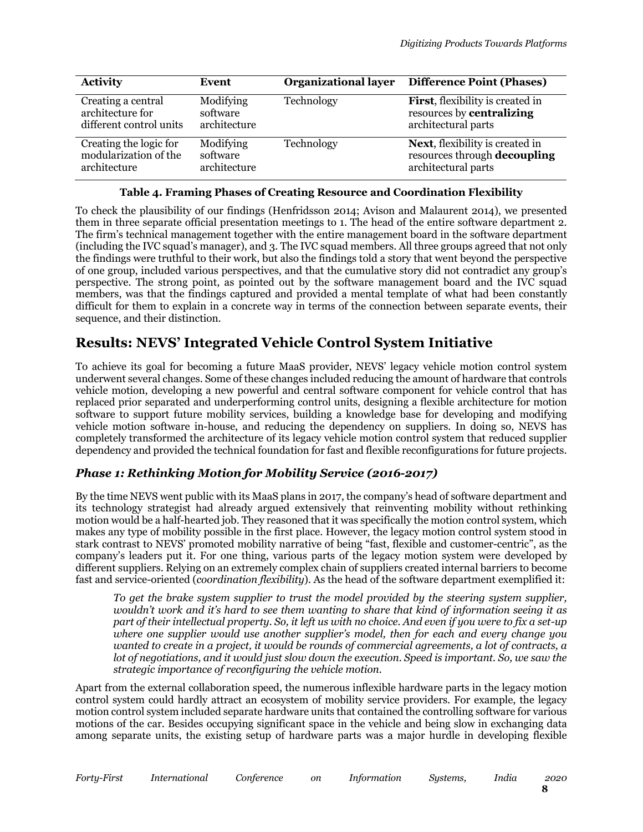| <b>Activity</b>         | Event        | <b>Organizational layer</b> | <b>Difference Point (Phases)</b>         |
|-------------------------|--------------|-----------------------------|------------------------------------------|
| Creating a central      | Modifying    | Technology                  | <b>First</b> , flexibility is created in |
| architecture for        | software     |                             | resources by centralizing                |
| different control units | architecture |                             | architectural parts                      |
| Creating the logic for  | Modifying    | Technology                  | <b>Next</b> , flexibility is created in  |
| modularization of the   | software     |                             | resources through decoupling             |
| architecture            | architecture |                             | architectural parts                      |

#### **Table 4. Framing Phases of Creating Resource and Coordination Flexibility**

To check the plausibility of our findings (Henfridsson 2014; Avison and Malaurent 2014), we presented them in three separate official presentation meetings to 1. The head of the entire software department 2. The firm's technical management together with the entire management board in the software department (including the IVC squad's manager), and 3. The IVC squad members. All three groups agreed that not only the findings were truthful to their work, but also the findings told a story that went beyond the perspective of one group, included various perspectives, and that the cumulative story did not contradict any group's perspective. The strong point, as pointed out by the software management board and the IVC squad members, was that the findings captured and provided a mental template of what had been constantly difficult for them to explain in a concrete way in terms of the connection between separate events, their sequence, and their distinction.

### **Results: NEVS' Integrated Vehicle Control System Initiative**

To achieve its goal for becoming a future MaaS provider, NEVS' legacy vehicle motion control system underwent several changes. Some of these changes included reducing the amount of hardware that controls vehicle motion, developing a new powerful and central software component for vehicle control that has replaced prior separated and underperforming control units, designing a flexible architecture for motion software to support future mobility services, building a knowledge base for developing and modifying vehicle motion software in-house, and reducing the dependency on suppliers. In doing so, NEVS has completely transformed the architecture of its legacy vehicle motion control system that reduced supplier dependency and provided the technical foundation for fast and flexible reconfigurations for future projects.

### *Phase 1: Rethinking Motion for Mobility Service (2016-2017)*

By the time NEVS went public with its MaaS plans in 2017, the company's head of software department and its technology strategist had already argued extensively that reinventing mobility without rethinking motion would be a half-hearted job. They reasoned that it was specifically the motion control system, which makes any type of mobility possible in the first place. However, the legacy motion control system stood in stark contrast to NEVS' promoted mobility narrative of being "fast, flexible and customer-centric", as the company's leaders put it. For one thing, various parts of the legacy motion system were developed by different suppliers. Relying on an extremely complex chain of suppliers created internal barriers to become fast and service-oriented (*coordination flexibility*). As the head of the software department exemplified it:

*To get the brake system supplier to trust the model provided by the steering system supplier, wouldn't work and it's hard to see them wanting to share that kind of information seeing it as part of their intellectual property. So, it left us with no choice. And even if you were to fix a set-up where one supplier would use another supplier's model, then for each and every change you wanted to create in a project, it would be rounds of commercial agreements, a lot of contracts, a lot of negotiations, and it would just slow down the execution. Speed is important. So, we saw the strategic importance of reconfiguring the vehicle motion.*

Apart from the external collaboration speed, the numerous inflexible hardware parts in the legacy motion control system could hardly attract an ecosystem of mobility service providers. For example, the legacy motion control system included separate hardware units that contained the controlling software for various motions of the car. Besides occupying significant space in the vehicle and being slow in exchanging data among separate units, the existing setup of hardware parts was a major hurdle in developing flexible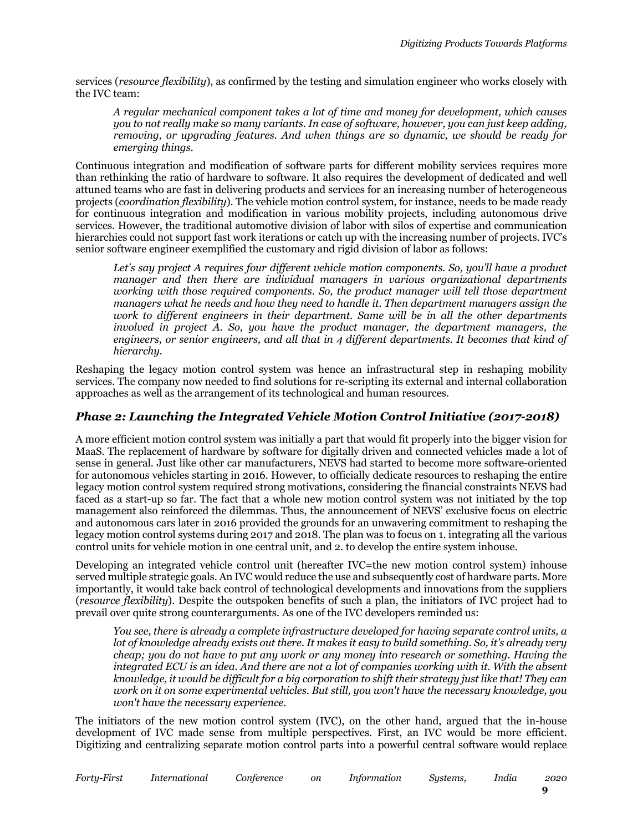services (*resource flexibility*), as confirmed by the testing and simulation engineer who works closely with the IVC team:

*A regular mechanical component takes a lot of time and money for development, which causes you to not really make so many variants. In case of software, however, you can just keep adding, removing, or upgrading features. And when things are so dynamic, we should be ready for emerging things.*

Continuous integration and modification of software parts for different mobility services requires more than rethinking the ratio of hardware to software. It also requires the development of dedicated and well attuned teams who are fast in delivering products and services for an increasing number of heterogeneous projects (*coordination flexibility*). The vehicle motion control system, for instance, needs to be made ready for continuous integration and modification in various mobility projects, including autonomous drive services. However, the traditional automotive division of labor with silos of expertise and communication hierarchies could not support fast work iterations or catch up with the increasing number of projects. IVC's senior software engineer exemplified the customary and rigid division of labor as follows:

*Let's say project A requires four different vehicle motion components. So, you'll have a product manager and then there are individual managers in various organizational departments working with those required components. So, the product manager will tell those department managers what he needs and how they need to handle it. Then department managers assign the work to different engineers in their department. Same will be in all the other departments involved in project A. So, you have the product manager, the department managers, the engineers, or senior engineers, and all that in 4 different departments. It becomes that kind of hierarchy.*

Reshaping the legacy motion control system was hence an infrastructural step in reshaping mobility services. The company now needed to find solutions for re-scripting its external and internal collaboration approaches as well as the arrangement of its technological and human resources.

### *Phase 2: Launching the Integrated Vehicle Motion Control Initiative (2017-2018)*

A more efficient motion control system was initially a part that would fit properly into the bigger vision for MaaS. The replacement of hardware by software for digitally driven and connected vehicles made a lot of sense in general. Just like other car manufacturers, NEVS had started to become more software-oriented for autonomous vehicles starting in 2016. However, to officially dedicate resources to reshaping the entire legacy motion control system required strong motivations, considering the financial constraints NEVS had faced as a start-up so far. The fact that a whole new motion control system was not initiated by the top management also reinforced the dilemmas. Thus, the announcement of NEVS' exclusive focus on electric and autonomous cars later in 2016 provided the grounds for an unwavering commitment to reshaping the legacy motion control systems during 2017 and 2018. The plan was to focus on 1. integrating all the various control units for vehicle motion in one central unit, and 2. to develop the entire system inhouse.

Developing an integrated vehicle control unit (hereafter IVC=the new motion control system) inhouse served multiple strategic goals. An IVC would reduce the use and subsequently cost of hardware parts. More importantly, it would take back control of technological developments and innovations from the suppliers (*resource flexibility*). Despite the outspoken benefits of such a plan, the initiators of IVC project had to prevail over quite strong counterarguments. As one of the IVC developers reminded us:

*You see, there is already a complete infrastructure developed for having separate control units, a lot of knowledge already exists out there. It makes it easy to build something. So, it's already very cheap; you do not have to put any work or any money into research or something. Having the integrated ECU is an idea. And there are not a lot of companies working with it. With the absent knowledge, it would be difficult for a big corporation to shift their strategy just like that! They can work on it on some experimental vehicles. But still, you won't have the necessary knowledge, you won't have the necessary experience.*

The initiators of the new motion control system (IVC), on the other hand, argued that the in-house development of IVC made sense from multiple perspectives. First, an IVC would be more efficient. Digitizing and centralizing separate motion control parts into a powerful central software would replace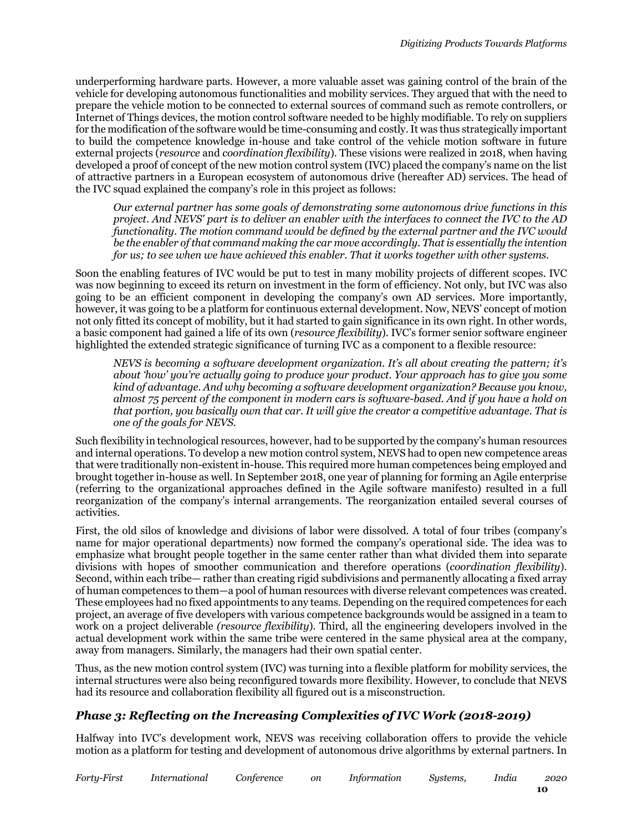underperforming hardware parts. However, a more valuable asset was gaining control of the brain of the vehicle for developing autonomous functionalities and mobility services. They argued that with the need to prepare the vehicle motion to be connected to external sources of command such as remote controllers, or Internet of Things devices, the motion control software needed to be highly modifiable. To rely on suppliers for the modification of the software would be time-consuming and costly. It was thus strategically important to build the competence knowledge in-house and take control of the vehicle motion software in future external projects (*resource* and *coordination flexibility*). These visions were realized in 2018, when having developed a proof of concept of the new motion control system (IVC) placed the company's name on the list of attractive partners in a European ecosystem of autonomous drive (hereafter AD) services. The head of the IVC squad explained the company's role in this project as follows:

*Our external partner has some goals of demonstrating some autonomous drive functions in this project. And NEVS' part is to deliver an enabler with the interfaces to connect the IVC to the AD functionality. The motion command would be defined by the external partner and the IVC would be the enabler of that command making the car move accordingly. That is essentially the intention for us; to see when we have achieved this enabler. That it works together with other systems.*

Soon the enabling features of IVC would be put to test in many mobility projects of different scopes. IVC was now beginning to exceed its return on investment in the form of efficiency. Not only, but IVC was also going to be an efficient component in developing the company's own AD services. More importantly, however, it was going to be a platform for continuous external development. Now, NEVS' concept of motion not only fitted its concept of mobility, but it had started to gain significance in its own right. In other words, a basic component had gained a life of its own (*resource flexibility*). IVC's former senior software engineer highlighted the extended strategic significance of turning IVC as a component to a flexible resource:

*NEVS is becoming a software development organization. It's all about creating the pattern; it's about 'how' you're actually going to produce your product. Your approach has to give you some kind of advantage. And why becoming a software development organization? Because you know, almost 75 percent of the component in modern cars is software-based. And if you have a hold on that portion, you basically own that car. It will give the creator a competitive advantage. That is one of the goals for NEVS.*

Such flexibility in technological resources, however, had to be supported by the company's human resources and internal operations. To develop a new motion control system, NEVS had to open new competence areas that were traditionally non-existent in-house. This required more human competences being employed and brought together in-house as well. In September 2018, one year of planning for forming an Agile enterprise (referring to the organizational approaches defined in the Agile software manifesto) resulted in a full reorganization of the company's internal arrangements. The reorganization entailed several courses of activities.

First, the old silos of knowledge and divisions of labor were dissolved. A total of four tribes (company's name for major operational departments) now formed the company's operational side. The idea was to emphasize what brought people together in the same center rather than what divided them into separate divisions with hopes of smoother communication and therefore operations (*coordination flexibility*). Second, within each tribe— rather than creating rigid subdivisions and permanently allocating a fixed array of human competences to them—a pool of human resources with diverse relevant competences was created. These employees had no fixed appointments to any teams. Depending on the required competences for each project, an average of five developers with various competence backgrounds would be assigned in a team to work on a project deliverable *(resource flexibility*). Third, all the engineering developers involved in the actual development work within the same tribe were centered in the same physical area at the company, away from managers. Similarly, the managers had their own spatial center.

Thus, as the new motion control system (IVC) was turning into a flexible platform for mobility services, the internal structures were also being reconfigured towards more flexibility. However, to conclude that NEVS had its resource and collaboration flexibility all figured out is a misconstruction.

### *Phase 3: Reflecting on the Increasing Complexities of IVC Work (2018-2019)*

Halfway into IVC's development work, NEVS was receiving collaboration offers to provide the vehicle motion as a platform for testing and development of autonomous drive algorithms by external partners. In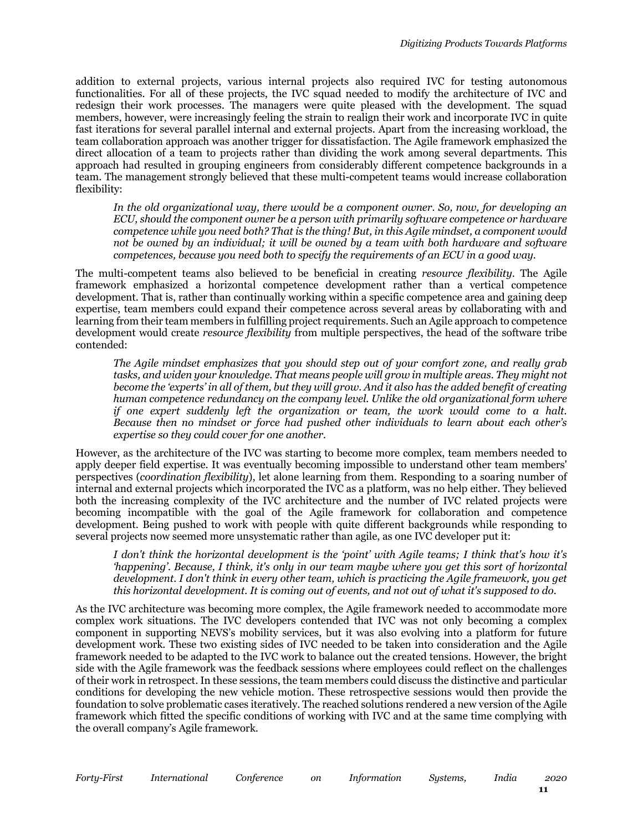addition to external projects, various internal projects also required IVC for testing autonomous functionalities. For all of these projects, the IVC squad needed to modify the architecture of IVC and redesign their work processes. The managers were quite pleased with the development. The squad members, however, were increasingly feeling the strain to realign their work and incorporate IVC in quite fast iterations for several parallel internal and external projects. Apart from the increasing workload, the team collaboration approach was another trigger for dissatisfaction. The Agile framework emphasized the direct allocation of a team to projects rather than dividing the work among several departments. This approach had resulted in grouping engineers from considerably different competence backgrounds in a team. The management strongly believed that these multi-competent teams would increase collaboration flexibility:

*In the old organizational way, there would be a component owner. So, now, for developing an ECU, should the component owner be a person with primarily software competence or hardware competence while you need both? That is the thing! But, in this Agile mindset, a component would not be owned by an individual; it will be owned by a team with both hardware and software competences, because you need both to specify the requirements of an ECU in a good way.*

The multi-competent teams also believed to be beneficial in creating *resource flexibility*. The Agile framework emphasized a horizontal competence development rather than a vertical competence development. That is, rather than continually working within a specific competence area and gaining deep expertise, team members could expand their competence across several areas by collaborating with and learning from their team members in fulfilling project requirements. Such an Agile approach to competence development would create *resource flexibility* from multiple perspectives, the head of the software tribe contended:

*The Agile mindset emphasizes that you should step out of your comfort zone, and really grab*  tasks, and widen your knowledge. That means people will grow in multiple areas. They might not *become the 'experts' in all of them, but they will grow. And it also has the added benefit of creating human competence redundancy on the company level. Unlike the old organizational form where if one expert suddenly left the organization or team, the work would come to a halt. Because then no mindset or force had pushed other individuals to learn about each other's expertise so they could cover for one another.*

However, as the architecture of the IVC was starting to become more complex, team members needed to apply deeper field expertise. It was eventually becoming impossible to understand other team members' perspectives (*coordination flexibility*), let alone learning from them. Responding to a soaring number of internal and external projects which incorporated the IVC as a platform, was no help either. They believed both the increasing complexity of the IVC architecture and the number of IVC related projects were becoming incompatible with the goal of the Agile framework for collaboration and competence development. Being pushed to work with people with quite different backgrounds while responding to several projects now seemed more unsystematic rather than agile, as one IVC developer put it:

*I don't think the horizontal development is the 'point' with Agile teams; I think that's how it's 'happening'. Because, I think, it's only in our team maybe where you get this sort of horizontal development. I don't think in every other team, which is practicing the Agile framework, you get this horizontal development. It is coming out of events, and not out of what it's supposed to do.*

As the IVC architecture was becoming more complex, the Agile framework needed to accommodate more complex work situations. The IVC developers contended that IVC was not only becoming a complex component in supporting NEVS's mobility services, but it was also evolving into a platform for future development work. These two existing sides of IVC needed to be taken into consideration and the Agile framework needed to be adapted to the IVC work to balance out the created tensions. However, the bright side with the Agile framework was the feedback sessions where employees could reflect on the challenges of their work in retrospect. In these sessions, the team members could discuss the distinctive and particular conditions for developing the new vehicle motion. These retrospective sessions would then provide the foundation to solve problematic cases iteratively. The reached solutions rendered a new version of the Agile framework which fitted the specific conditions of working with IVC and at the same time complying with the overall company's Agile framework.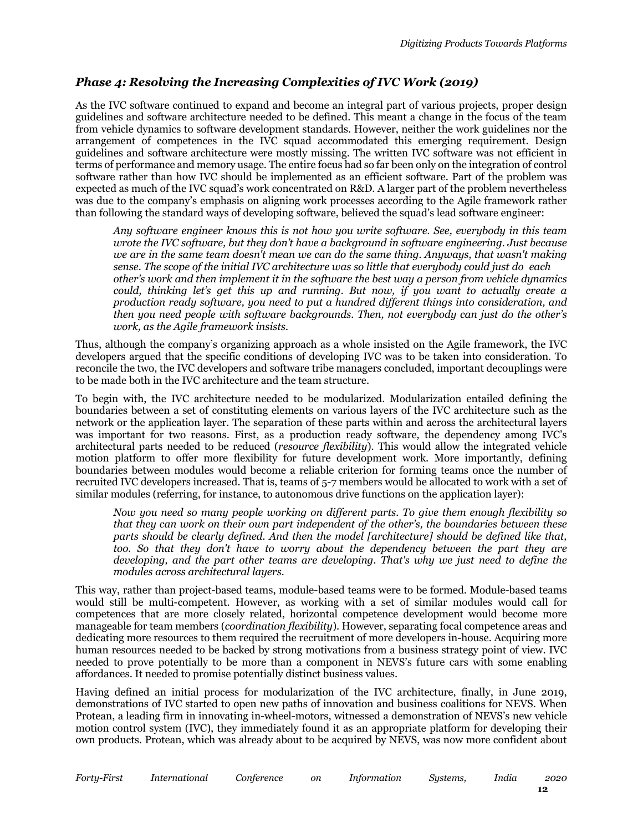### *Phase 4: Resolving the Increasing Complexities of IVC Work (2019)*

As the IVC software continued to expand and become an integral part of various projects, proper design guidelines and software architecture needed to be defined. This meant a change in the focus of the team from vehicle dynamics to software development standards. However, neither the work guidelines nor the arrangement of competences in the IVC squad accommodated this emerging requirement. Design guidelines and software architecture were mostly missing. The written IVC software was not efficient in terms of performance and memory usage. The entire focus had so far been only on the integration of control software rather than how IVC should be implemented as an efficient software. Part of the problem was expected as much of the IVC squad's work concentrated on R&D. A larger part of the problem nevertheless was due to the company's emphasis on aligning work processes according to the Agile framework rather than following the standard ways of developing software, believed the squad's lead software engineer:

*Any software engineer knows this is not how you write software. See, everybody in this team wrote the IVC software, but they don't have a background in software engineering. Just because we are in the same team doesn't mean we can do the same thing. Anyways, that wasn't making sense. The scope of the initial IVC architecture was so little that everybody could just do each other's work and then implement it in the software the best way a person from vehicle dynamics could, thinking let's get this up and running. But now, if you want to actually create a production ready software, you need to put a hundred different things into consideration, and then you need people with software backgrounds. Then, not everybody can just do the other's work, as the Agile framework insists.*

Thus, although the company's organizing approach as a whole insisted on the Agile framework, the IVC developers argued that the specific conditions of developing IVC was to be taken into consideration. To reconcile the two, the IVC developers and software tribe managers concluded, important decouplings were to be made both in the IVC architecture and the team structure.

To begin with, the IVC architecture needed to be modularized. Modularization entailed defining the boundaries between a set of constituting elements on various layers of the IVC architecture such as the network or the application layer. The separation of these parts within and across the architectural layers was important for two reasons. First, as a production ready software, the dependency among IVC's architectural parts needed to be reduced (*resource flexibility*). This would allow the integrated vehicle motion platform to offer more flexibility for future development work. More importantly, defining boundaries between modules would become a reliable criterion for forming teams once the number of recruited IVC developers increased. That is, teams of 5-7 members would be allocated to work with a set of similar modules (referring, for instance, to autonomous drive functions on the application layer):

*Now you need so many people working on different parts. To give them enough flexibility so that they can work on their own part independent of the other's, the boundaries between these parts should be clearly defined. And then the model [architecture] should be defined like that,*  too. So that they don't have to worry about the dependency between the part they are *developing, and the part other teams are developing. That's why we just need to define the modules across architectural layers.*

This way, rather than project-based teams, module-based teams were to be formed. Module-based teams would still be multi-competent. However, as working with a set of similar modules would call for competences that are more closely related, horizontal competence development would become more manageable for team members (*coordination flexibility*). However, separating focal competence areas and dedicating more resources to them required the recruitment of more developers in-house. Acquiring more human resources needed to be backed by strong motivations from a business strategy point of view. IVC needed to prove potentially to be more than a component in NEVS's future cars with some enabling affordances. It needed to promise potentially distinct business values.

Having defined an initial process for modularization of the IVC architecture, finally, in June 2019, demonstrations of IVC started to open new paths of innovation and business coalitions for NEVS. When Protean, a leading firm in innovating in-wheel-motors, witnessed a demonstration of NEVS's new vehicle motion control system (IVC), they immediately found it as an appropriate platform for developing their own products. Protean, which was already about to be acquired by NEVS, was now more confident about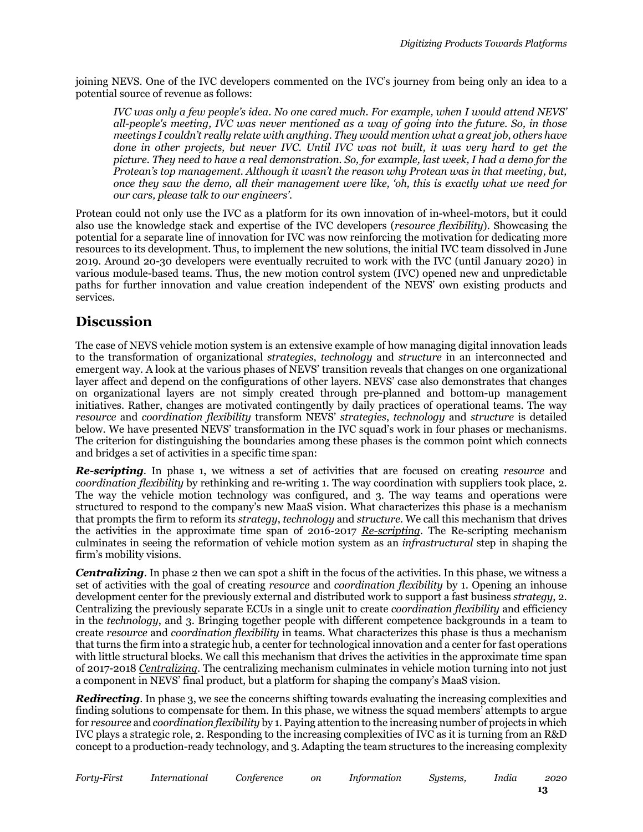joining NEVS. One of the IVC developers commented on the IVC's journey from being only an idea to a potential source of revenue as follows:

*IVC was only a few people's idea. No one cared much. For example, when I would attend NEVS' all-people's meeting, IVC was never mentioned as a way of going into the future. So, in those meetings I couldn't really relate with anything. They would mention what a great job, others have done in other projects, but never IVC. Until IVC was not built, it was very hard to get the picture. They need to have a real demonstration. So, for example, last week, I had a demo for the Protean's top management. Although it wasn't the reason why Protean was in that meeting, but, once they saw the demo, all their management were like, 'oh, this is exactly what we need for our cars, please talk to our engineers'.*

Protean could not only use the IVC as a platform for its own innovation of in-wheel-motors, but it could also use the knowledge stack and expertise of the IVC developers (*resource flexibility*). Showcasing the potential for a separate line of innovation for IVC was now reinforcing the motivation for dedicating more resources to its development. Thus, to implement the new solutions, the initial IVC team dissolved in June 2019. Around 20-30 developers were eventually recruited to work with the IVC (until January 2020) in various module-based teams. Thus, the new motion control system (IVC) opened new and unpredictable paths for further innovation and value creation independent of the NEVS' own existing products and services.

### **Discussion**

The case of NEVS vehicle motion system is an extensive example of how managing digital innovation leads to the transformation of organizational *strategies*, *technology* and *structure* in an interconnected and emergent way. A look at the various phases of NEVS' transition reveals that changes on one organizational layer affect and depend on the configurations of other layers. NEVS' case also demonstrates that changes on organizational layers are not simply created through pre-planned and bottom-up management initiatives. Rather, changes are motivated contingently by daily practices of operational teams. The way *resource* and *coordination flexibility* transform NEVS' *strategies*, *technology* and *structure* is detailed below. We have presented NEVS' transformation in the IVC squad's work in four phases or mechanisms. The criterion for distinguishing the boundaries among these phases is the common point which connects and bridges a set of activities in a specific time span:

*Re-scripting*. In phase 1, we witness a set of activities that are focused on creating *resource* and *coordination flexibility* by rethinking and re-writing 1. The way coordination with suppliers took place, 2. The way the vehicle motion technology was configured, and 3. The way teams and operations were structured to respond to the company's new MaaS vision. What characterizes this phase is a mechanism that prompts the firm to reform its *strategy*, *technology* and *structure*. We call this mechanism that drives the activities in the approximate time span of 2016-2017 *Re-scripting*. The Re-scripting mechanism culminates in seeing the reformation of vehicle motion system as an *infrastructural* step in shaping the firm's mobility visions.

*Centralizing*. In phase 2 then we can spot a shift in the focus of the activities. In this phase, we witness a set of activities with the goal of creating *resource* and *coordination flexibility* by 1. Opening an inhouse development center for the previously external and distributed work to support a fast business *strategy*, 2. Centralizing the previously separate ECUs in a single unit to create *coordination flexibility* and efficiency in the *technology*, and 3. Bringing together people with different competence backgrounds in a team to create *resource* and *coordination flexibility* in teams. What characterizes this phase is thus a mechanism that turns the firm into a strategic hub, a center for technological innovation and a center for fast operations with little structural blocks. We call this mechanism that drives the activities in the approximate time span of 2017-2018 *Centralizing*. The centralizing mechanism culminates in vehicle motion turning into not just a component in NEVS' final product, but a platform for shaping the company's MaaS vision.

**Redirecting.** In phase 3, we see the concerns shifting towards evaluating the increasing complexities and finding solutions to compensate for them. In this phase, we witness the squad members' attempts to argue for *resource* and *coordination flexibility* by 1. Paying attention to the increasing number of projects in which IVC plays a strategic role, 2. Responding to the increasing complexities of IVC as it is turning from an R&D concept to a production-ready technology, and 3. Adapting the team structures to the increasing complexity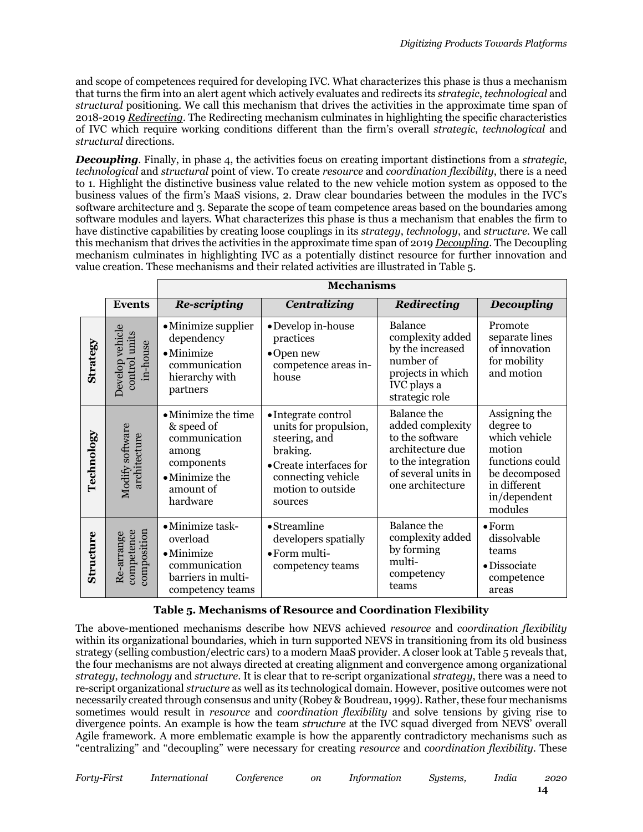and scope of competences required for developing IVC. What characterizes this phase is thus a mechanism that turns the firm into an alert agent which actively evaluates and redirects its *strategic*, *technological* and *structural* positioning. We call this mechanism that drives the activities in the approximate time span of 2018-2019 *Redirecting*. The Redirecting mechanism culminates in highlighting the specific characteristics of IVC which require working conditions different than the firm's overall *strategic*, *technological* and *structural* directions.

*Decoupling*. Finally, in phase 4, the activities focus on creating important distinctions from a *strategic*, *technological* and *structural* point of view. To create *resource* and *coordination flexibility*, there is a need to 1. Highlight the distinctive business value related to the new vehicle motion system as opposed to the business values of the firm's MaaS visions, 2. Draw clear boundaries between the modules in the IVC's software architecture and 3. Separate the scope of team competence areas based on the boundaries among software modules and layers. What characterizes this phase is thus a mechanism that enables the firm to have distinctive capabilities by creating loose couplings in its *strategy*, *technology*, and *structure*. We call this mechanism that drives the activities in the approximate time span of 2019 *Decoupling*. The Decoupling mechanism culminates in highlighting IVC as a potentially distinct resource for further innovation and value creation. These mechanisms and their related activities are illustrated in Table 5.

|                 |                                              | <b>Mechanisms</b>                                                                                                            |                                                                                                                                                            |                                                                                                                                                |                                                                                                                                      |  |  |  |
|-----------------|----------------------------------------------|------------------------------------------------------------------------------------------------------------------------------|------------------------------------------------------------------------------------------------------------------------------------------------------------|------------------------------------------------------------------------------------------------------------------------------------------------|--------------------------------------------------------------------------------------------------------------------------------------|--|--|--|
|                 | <b>Events</b>                                | <b>Re-scripting</b>                                                                                                          | <b>Centralizing</b>                                                                                                                                        | Redirecting                                                                                                                                    | <b>Decoupling</b>                                                                                                                    |  |  |  |
| <b>Strategy</b> | Develop vehicle<br>control units<br>in-house | • Minimize supplier<br>dependency<br>$\bullet$ Minimize<br>communication<br>hierarchy with<br>partners                       | • Develop in-house<br>practices<br>$\bullet$ Open new<br>competence areas in-<br>house                                                                     | <b>Balance</b><br>complexity added<br>by the increased<br>number of<br>projects in which<br>IVC plays a<br>strategic role                      | Promote<br>separate lines<br>of innovation<br>for mobility<br>and motion                                                             |  |  |  |
| Technology      | Modify software<br>architecture              | • Minimize the time<br>& speed of<br>communication<br>among<br>components<br>$\bullet$ Minimize the<br>amount of<br>hardware | • Integrate control<br>units for propulsion,<br>steering, and<br>braking.<br>• Create interfaces for<br>connecting vehicle<br>motion to outside<br>sources | <b>Balance</b> the<br>added complexity<br>to the software<br>architecture due<br>to the integration<br>of several units in<br>one architecture | Assigning the<br>degree to<br>which vehicle<br>motion<br>functions could<br>be decomposed<br>in different<br>in/dependent<br>modules |  |  |  |
| Structure       | composition<br>competence<br>Re-arrange      | • Minimize task-<br>overload<br>$\bullet$ Minimize<br>communication<br>barriers in multi-<br>competency teams                | $\bullet$ Streamline<br>developers spatially<br>· Form multi-<br>competency teams                                                                          | <b>Balance</b> the<br>complexity added<br>by forming<br>multi-<br>competency<br>teams                                                          | $\bullet$ Form<br>dissolvable<br>teams<br>· Dissociate<br>competence<br>areas                                                        |  |  |  |

#### **Table 5. Mechanisms of Resource and Coordination Flexibility**

The above-mentioned mechanisms describe how NEVS achieved *resource* and *coordination flexibility*  within its organizational boundaries, which in turn supported NEVS in transitioning from its old business strategy (selling combustion/electric cars) to a modern MaaS provider. A closer look at Table 5 reveals that, the four mechanisms are not always directed at creating alignment and convergence among organizational *strategy*, *technology* and *structure*. It is clear that to re-script organizational *strategy*, there was a need to re-script organizational *structure* as well as its technological domain. However, positive outcomes were not necessarily created through consensus and unity (Robey & Boudreau, 1999). Rather, these four mechanisms sometimes would result in *resource* and *coordination flexibility* and solve tensions by giving rise to divergence points. An example is how the team *structure* at the IVC squad diverged from NEVS' overall Agile framework. A more emblematic example is how the apparently contradictory mechanisms such as "centralizing" and "decoupling" were necessary for creating *resource* and *coordination flexibility*. These

*Forty-First International Conference on Information Systems, India 2020*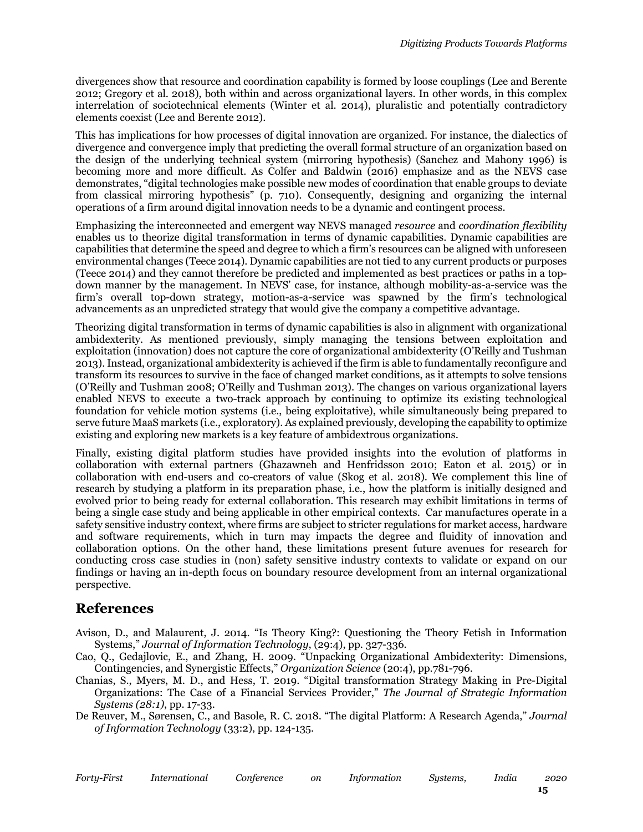divergences show that resource and coordination capability is formed by loose couplings (Lee and Berente 2012; Gregory et al. 2018), both within and across organizational layers. In other words, in this complex interrelation of sociotechnical elements (Winter et al. 2014), pluralistic and potentially contradictory elements coexist (Lee and Berente 2012).

This has implications for how processes of digital innovation are organized. For instance, the dialectics of divergence and convergence imply that predicting the overall formal structure of an organization based on the design of the underlying technical system (mirroring hypothesis) (Sanchez and Mahony 1996) is becoming more and more difficult. As Colfer and Baldwin (2016) emphasize and as the NEVS case demonstrates, "digital technologies make possible new modes of coordination that enable groups to deviate from classical mirroring hypothesis" (p. 710). Consequently, designing and organizing the internal operations of a firm around digital innovation needs to be a dynamic and contingent process.

Emphasizing the interconnected and emergent way NEVS managed *resource* and *coordination flexibility* enables us to theorize digital transformation in terms of dynamic capabilities. Dynamic capabilities are capabilities that determine the speed and degree to which a firm's resources can be aligned with unforeseen environmental changes (Teece 2014). Dynamic capabilities are not tied to any current products or purposes (Teece 2014) and they cannot therefore be predicted and implemented as best practices or paths in a topdown manner by the management. In NEVS' case, for instance, although mobility-as-a-service was the firm's overall top-down strategy, motion-as-a-service was spawned by the firm's technological advancements as an unpredicted strategy that would give the company a competitive advantage.

Theorizing digital transformation in terms of dynamic capabilities is also in alignment with organizational ambidexterity. As mentioned previously, simply managing the tensions between exploitation and exploitation (innovation) does not capture the core of organizational ambidexterity (O'Reilly and Tushman 2013).Instead, organizational ambidexterity is achieved if the firm is able to fundamentally reconfigure and transform its resources to survive in the face of changed market conditions, as it attempts to solve tensions (O'Reilly and Tushman 2008; O'Reilly and Tushman 2013). The changes on various organizational layers enabled NEVS to execute a two-track approach by continuing to optimize its existing technological foundation for vehicle motion systems (i.e., being exploitative), while simultaneously being prepared to serve future MaaS markets (i.e., exploratory). As explained previously, developing the capability to optimize existing and exploring new markets is a key feature of ambidextrous organizations.

Finally, existing digital platform studies have provided insights into the evolution of platforms in collaboration with external partners (Ghazawneh and Henfridsson 2010; Eaton et al. 2015) or in collaboration with end-users and co-creators of value (Skog et al. 2018). We complement this line of research by studying a platform in its preparation phase, i.e., how the platform is initially designed and evolved prior to being ready for external collaboration. This research may exhibit limitations in terms of being a single case study and being applicable in other empirical contexts. Car manufactures operate in a safety sensitive industry context, where firms are subject to stricter regulations for market access, hardware and software requirements, which in turn may impacts the degree and fluidity of innovation and collaboration options. On the other hand, these limitations present future avenues for research for conducting cross case studies in (non) safety sensitive industry contexts to validate or expand on our findings or having an in-depth focus on boundary resource development from an internal organizational perspective.

### **References**

- Avison, D., and Malaurent, J. 2014. "Is Theory King?: Questioning the Theory Fetish in Information Systems," *Journal of Information Technology*, (29:4), pp. 327-336.
- Cao, Q., Gedajlovic, E., and Zhang, H. 2009. "Unpacking Organizational Ambidexterity: Dimensions, Contingencies, and Synergistic Effects," *Organization Science* (20:4), pp.781-796.
- Chanias, S., Myers, M. D., and Hess, T. 2019. "Digital transformation Strategy Making in Pre-Digital Organizations: The Case of a Financial Services Provider," *The Journal of Strategic Information Systems (28:1)*, pp. 17-33.

De Reuver, M., Sørensen, C., and Basole, R. C. 2018. "The digital Platform: A Research Agenda," *Journal of Information Technology* (33:2), pp. 124-135.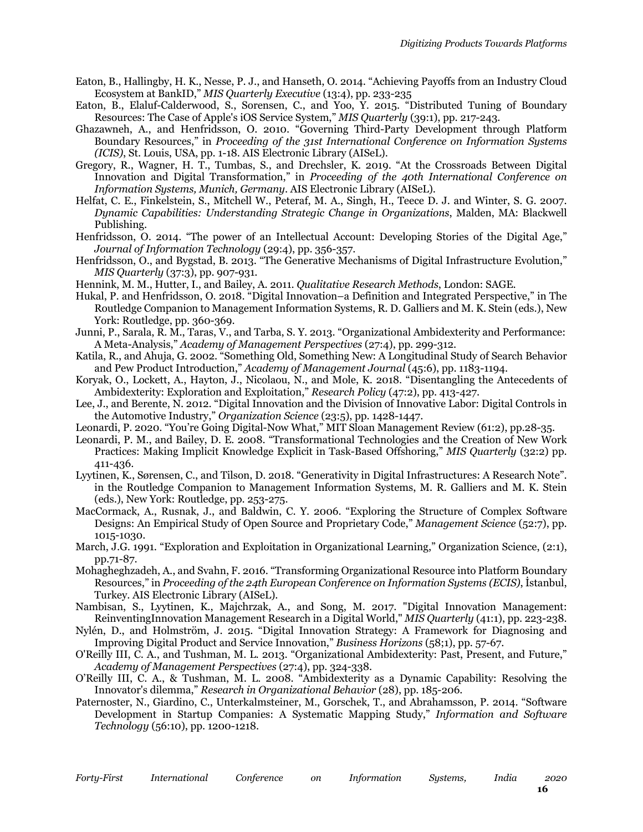- Eaton, B., Hallingby, H. K., Nesse, P. J., and Hanseth, O. 2014. "Achieving Payoffs from an Industry Cloud Ecosystem at BankID," *MIS Quarterly Executive* (13:4), pp. 233-235
- Eaton, B., Elaluf-Calderwood, S., Sorensen, C., and Yoo, Y. 2015. "Distributed Tuning of Boundary Resources: The Case of Apple's iOS Service System," *MIS Quarterly* (39:1), pp. 217-243.
- Ghazawneh, A., and Henfridsson, O. 2010. "Governing Third-Party Development through Platform Boundary Resources," in *Proceeding of the 31st International Conference on Information Systems (ICIS)*, St. Louis, USA, pp. 1-18. AIS Electronic Library (AISeL).
- Gregory, R., Wagner, H. T., Tumbas, S., and Drechsler, K. 2019. "At the Crossroads Between Digital Innovation and Digital Transformation," in *Proceeding of the 40th International Conference on Information Systems, Munich, Germany*. AIS Electronic Library (AISeL).
- Helfat, C. E., Finkelstein, S., Mitchell W., Peteraf, M. A., Singh, H., Teece D. J. and Winter, S. G. 2007. *Dynamic Capabilities: Understanding Strategic Change in Organizations*, Malden, MA: Blackwell Publishing.
- Henfridsson, O. 2014. "The power of an Intellectual Account: Developing Stories of the Digital Age," *Journal of Information Technology* (29:4), pp. 356-357.
- Henfridsson, O., and Bygstad, B. 2013. "The Generative Mechanisms of Digital Infrastructure Evolution," *MIS Quarterly* (37:3), pp. 907-931.
- Hennink, M. M., Hutter, I., and Bailey, A. 2011. *Qualitative Research Methods*, London: SAGE.
- Hukal, P. and Henfridsson, O. 2018. "Digital Innovation–a Definition and Integrated Perspective," in The Routledge Companion to Management Information Systems, R. D. Galliers and M. K. Stein (eds.), New York: Routledge, pp. 360-369.
- Junni, P., Sarala, R. M., Taras, V., and Tarba, S. Y. 2013. "Organizational Ambidexterity and Performance: A Meta-Analysis," *Academy of Management Perspectives* (27:4), pp. 299-312.
- Katila, R., and Ahuja, G. 2002. "Something Old, Something New: A Longitudinal Study of Search Behavior and Pew Product Introduction," *Academy of Management Journal* (45:6), pp. 1183-1194.
- Koryak, O., Lockett, A., Hayton, J., Nicolaou, N., and Mole, K. 2018. "Disentangling the Antecedents of Ambidexterity: Exploration and Exploitation," *Research Policy* (47:2), pp. 413-427.
- Lee, J., and Berente, N. 2012. "Digital Innovation and the Division of Innovative Labor: Digital Controls in the Automotive Industry," *Organization Science* (23:5), pp. 1428-1447.
- Leonardi, P. 2020. "You're Going Digital-Now What," MIT Sloan Management Review (61:2), pp.28-35.
- Leonardi, P. M., and Bailey, D. E. 2008. "Transformational Technologies and the Creation of New Work Practices: Making Implicit Knowledge Explicit in Task-Based Offshoring," *MIS Quarterly* (32:2) pp. 411-436.
- Lyytinen, K., Sørensen, C., and Tilson, D. 2018. "Generativity in Digital Infrastructures: A Research Note". in the Routledge Companion to Management Information Systems, M. R. Galliers and M. K. Stein (eds.), New York: Routledge, pp. 253-275.
- MacCormack, A., Rusnak, J., and Baldwin, C. Y. 2006. "Exploring the Structure of Complex Software Designs: An Empirical Study of Open Source and Proprietary Code," *Management Science* (52:7), pp. 1015-1030.
- March, J.G. 1991. "Exploration and Exploitation in Organizational Learning," Organization Science, (2:1), pp.71-87.
- Mohagheghzadeh, A., and Svahn, F. 2016. "Transforming Organizational Resource into Platform Boundary Resources," in *Proceeding of the 24th European Conference on Information Systems (ECIS)*, İstanbul, Turkey. AIS Electronic Library (AISeL).
- Nambisan, S., Lyytinen, K., Majchrzak, A., and Song, M. 2017. "Digital Innovation Management: ReinventingInnovation Management Research in a Digital World," *MIS Quarterly* (41:1), pp. 223-238.
- Nylén, D., and Holmström, J. 2015. "Digital Innovation Strategy: A Framework for Diagnosing and Improving Digital Product and Service Innovation," *Business Horizons* (58;1), pp. 57-67.
- O'Reilly III, C. A., and Tushman, M. L. 2013. "Organizational Ambidexterity: Past, Present, and Future," *Academy of Management Perspectives* (27:4), pp. 324-338.
- O'Reilly III, C. A., & Tushman, M. L. 2008. "Ambidexterity as a Dynamic Capability: Resolving the Innovator's dilemma," *Research in Organizational Behavior* (28), pp. 185-206.
- Paternoster, N., Giardino, C., Unterkalmsteiner, M., Gorschek, T., and Abrahamsson, P. 2014. "Software Development in Startup Companies: A Systematic Mapping Study," *Information and Software Technology* (56:10), pp. 1200-1218.